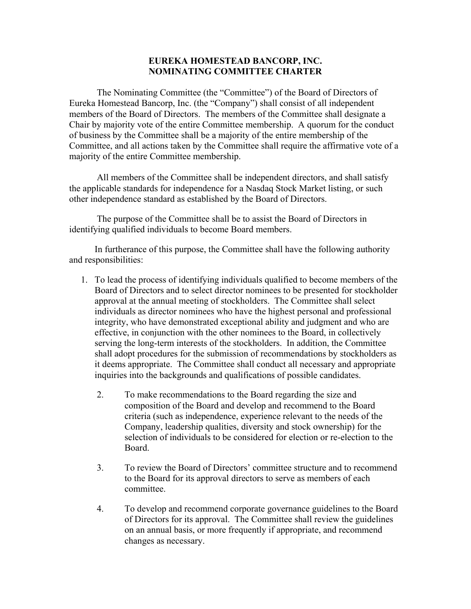## **EUREKA HOMESTEAD BANCORP, INC. NOMINATING COMMITTEE CHARTER**

The Nominating Committee (the "Committee") of the Board of Directors of Eureka Homestead Bancorp, Inc. (the "Company") shall consist of all independent members of the Board of Directors. The members of the Committee shall designate a Chair by majority vote of the entire Committee membership. A quorum for the conduct of business by the Committee shall be a majority of the entire membership of the Committee, and all actions taken by the Committee shall require the affirmative vote of a majority of the entire Committee membership.

All members of the Committee shall be independent directors, and shall satisfy the applicable standards for independence for a Nasdaq Stock Market listing, or such other independence standard as established by the Board of Directors.

The purpose of the Committee shall be to assist the Board of Directors in identifying qualified individuals to become Board members.

In furtherance of this purpose, the Committee shall have the following authority and responsibilities:

- 1. To lead the process of identifying individuals qualified to become members of the Board of Directors and to select director nominees to be presented for stockholder approval at the annual meeting of stockholders. The Committee shall select individuals as director nominees who have the highest personal and professional integrity, who have demonstrated exceptional ability and judgment and who are effective, in conjunction with the other nominees to the Board, in collectively serving the long-term interests of the stockholders. In addition, the Committee shall adopt procedures for the submission of recommendations by stockholders as it deems appropriate. The Committee shall conduct all necessary and appropriate inquiries into the backgrounds and qualifications of possible candidates.
	- 2. To make recommendations to the Board regarding the size and composition of the Board and develop and recommend to the Board criteria (such as independence, experience relevant to the needs of the Company, leadership qualities, diversity and stock ownership) for the selection of individuals to be considered for election or re-election to the Board.
	- 3. To review the Board of Directors' committee structure and to recommend to the Board for its approval directors to serve as members of each committee.
	- 4. To develop and recommend corporate governance guidelines to the Board of Directors for its approval. The Committee shall review the guidelines on an annual basis, or more frequently if appropriate, and recommend changes as necessary.